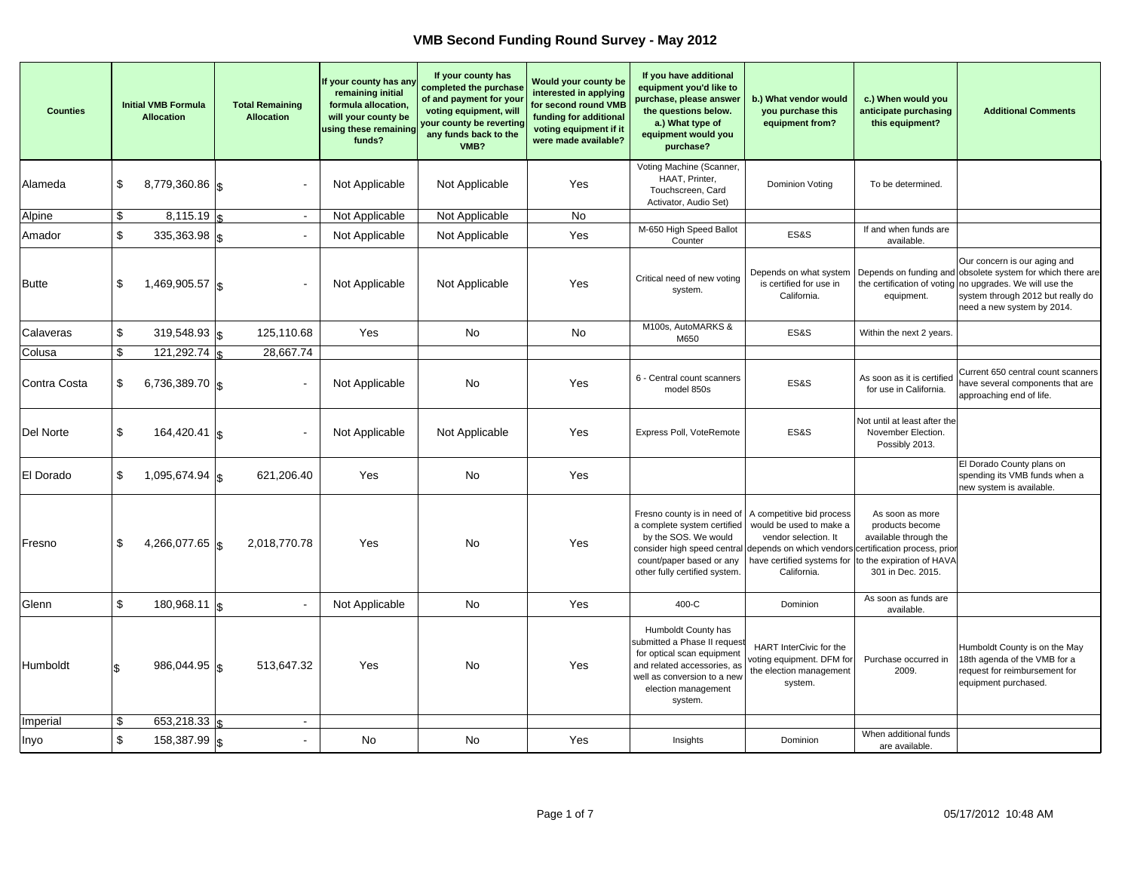| <b>Counties</b> |     | <b>Initial VMB Formula</b><br><b>Allocation</b> | <b>Total Remaining</b><br><b>Allocation</b> | If your county has any<br>remaining initial<br>formula allocation,<br>will your county be<br>using these remaining<br>funds? | If your county has<br>completed the purchase<br>of and payment for your<br>voting equipment, will<br>your county be reverting<br>any funds back to the<br>VMB? | Would your county be<br>interested in applying<br>for second round VMB<br>funding for additional<br>voting equipment if it<br>were made available? | If you have additional<br>equipment you'd like to<br>purchase, please answer<br>the questions below.<br>a.) What type of<br>equipment would you<br>purchase?                                                                         | b.) What vendor would<br>you purchase this<br>equipment from?                                                             | c.) When would you<br>anticipate purchasing<br>this equipment?                                                | <b>Additional Comments</b>                                                                                                                                                                                                |
|-----------------|-----|-------------------------------------------------|---------------------------------------------|------------------------------------------------------------------------------------------------------------------------------|----------------------------------------------------------------------------------------------------------------------------------------------------------------|----------------------------------------------------------------------------------------------------------------------------------------------------|--------------------------------------------------------------------------------------------------------------------------------------------------------------------------------------------------------------------------------------|---------------------------------------------------------------------------------------------------------------------------|---------------------------------------------------------------------------------------------------------------|---------------------------------------------------------------------------------------------------------------------------------------------------------------------------------------------------------------------------|
| Alameda         | \$  | 8,779,360.86 \$                                 |                                             | Not Applicable                                                                                                               | Not Applicable                                                                                                                                                 | Yes                                                                                                                                                | Voting Machine (Scanner,<br>HAAT, Printer,<br>Touchscreen, Card<br>Activator, Audio Set)                                                                                                                                             | Dominion Voting                                                                                                           | To be determined.                                                                                             |                                                                                                                                                                                                                           |
| Alpine          | \$  | $8,115.19$ \\$                                  | $\overline{\phantom{a}}$                    | Not Applicable                                                                                                               | Not Applicable                                                                                                                                                 | No                                                                                                                                                 |                                                                                                                                                                                                                                      |                                                                                                                           |                                                                                                               |                                                                                                                                                                                                                           |
| Amador          | \$  | $335,363.98$ \s                                 |                                             | Not Applicable                                                                                                               | Not Applicable                                                                                                                                                 | Yes                                                                                                                                                | M-650 High Speed Ballot<br>Counter                                                                                                                                                                                                   | ES&S                                                                                                                      | If and when funds are<br>available.                                                                           |                                                                                                                                                                                                                           |
| <b>Butte</b>    | \$  | 1,469,905.57 \$                                 |                                             | Not Applicable                                                                                                               | Not Applicable                                                                                                                                                 | Yes                                                                                                                                                | Critical need of new voting<br>system.                                                                                                                                                                                               | Depends on what system<br>is certified for use in<br>California.                                                          | equipment.                                                                                                    | Our concern is our aging and<br>Depends on funding and obsolete system for which there are<br>the certification of voting no upgrades. We will use the<br>system through 2012 but really do<br>need a new system by 2014. |
| Calaveras       | \$  | 319,548.93 $\vert$ \$                           | 125,110.68                                  | Yes                                                                                                                          | No                                                                                                                                                             | No                                                                                                                                                 | M100s, AutoMARKS &<br>M650                                                                                                                                                                                                           | ES&S                                                                                                                      | Within the next 2 years.                                                                                      |                                                                                                                                                                                                                           |
| Colusa          | \$  | 121,292.74                                      | 28,667.74                                   |                                                                                                                              |                                                                                                                                                                |                                                                                                                                                    |                                                                                                                                                                                                                                      |                                                                                                                           |                                                                                                               |                                                                                                                                                                                                                           |
| Contra Costa    | \$  | 6,736,389.70 $\vert$ \$                         |                                             | Not Applicable                                                                                                               | No                                                                                                                                                             | Yes                                                                                                                                                | 6 - Central count scanners<br>model 850s                                                                                                                                                                                             | ES&S                                                                                                                      | As soon as it is certified<br>for use in California.                                                          | Current 650 central count scanners<br>have several components that are<br>approaching end of life.                                                                                                                        |
| Del Norte       | \$  | $164,420.41$   \$                               |                                             | Not Applicable                                                                                                               | Not Applicable                                                                                                                                                 | Yes                                                                                                                                                | Express Poll, VoteRemote                                                                                                                                                                                                             | ES&S                                                                                                                      | Not until at least after the<br>November Election.<br>Possibly 2013.                                          |                                                                                                                                                                                                                           |
| El Dorado       | \$  | 1,095,674.94 $\vert$ \$                         | 621,206.40                                  | Yes                                                                                                                          | No                                                                                                                                                             | Yes                                                                                                                                                |                                                                                                                                                                                                                                      |                                                                                                                           |                                                                                                               | El Dorado County plans on<br>spending its VMB funds when a<br>new system is available.                                                                                                                                    |
| Fresno          | \$  | 4,266,077.65 $\vert$ s                          | 2,018,770.78                                | Yes                                                                                                                          | No                                                                                                                                                             | Yes                                                                                                                                                | Fresno county is in need of<br>a complete system certified<br>by the SOS. We would<br>consider high speed central depends on which vendors certification process, prior<br>count/paper based or any<br>other fully certified system. | A competitive bid process<br>would be used to make a<br>vendor selection. It<br>have certified systems for<br>California. | As soon as more<br>products become<br>available through the<br>to the expiration of HAVA<br>301 in Dec. 2015. |                                                                                                                                                                                                                           |
| Glenn           | \$  | $180,968.11$ \substantial 0.5                   |                                             | Not Applicable                                                                                                               | No                                                                                                                                                             | Yes                                                                                                                                                | 400-C                                                                                                                                                                                                                                | Dominion                                                                                                                  | As soon as funds are<br>available.                                                                            |                                                                                                                                                                                                                           |
| Humboldt        | l\$ | 986,044.95   \$                                 | 513,647.32                                  | Yes                                                                                                                          | No                                                                                                                                                             | Yes                                                                                                                                                | Humboldt County has<br>submitted a Phase II request<br>for optical scan equipment<br>and related accessories, as<br>well as conversion to a new<br>election management<br>system.                                                    | HART InterCivic for the<br>oting equipment. DFM for<br>the election management<br>system.                                 | Purchase occurred in<br>2009.                                                                                 | Humboldt County is on the May<br>18th agenda of the VMB for a<br>request for reimbursement for<br>equipment purchased.                                                                                                    |
| Imperial        | \$  | 653,218.33                                      | $\sim$                                      |                                                                                                                              |                                                                                                                                                                |                                                                                                                                                    |                                                                                                                                                                                                                                      |                                                                                                                           |                                                                                                               |                                                                                                                                                                                                                           |
| Inyo            | \$  | 158,387.99 \$                                   | $\overline{\phantom{a}}$                    | No                                                                                                                           | No                                                                                                                                                             | Yes                                                                                                                                                | Insights                                                                                                                                                                                                                             | Dominion                                                                                                                  | When additional funds<br>are available.                                                                       |                                                                                                                                                                                                                           |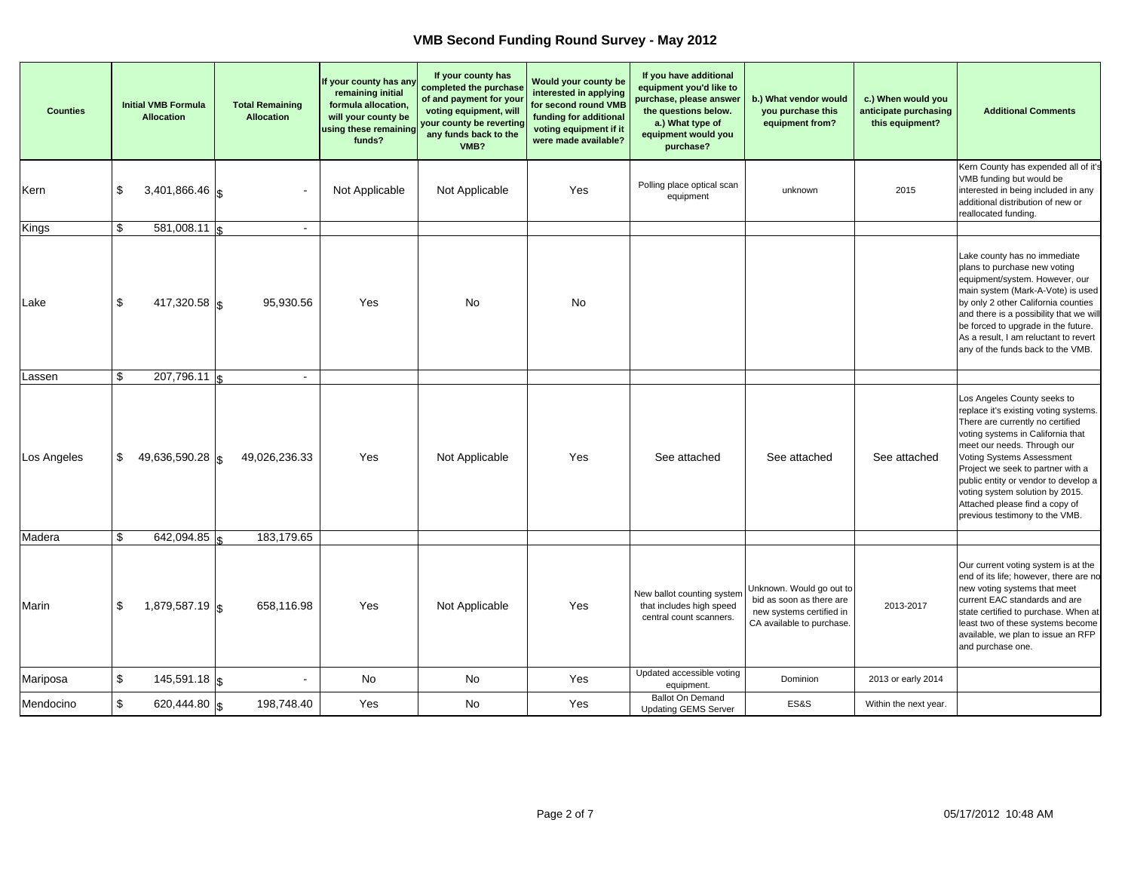| <b>Counties</b> | <b>Initial VMB Formula</b><br><b>Allocation</b> | <b>Total Remaining</b><br><b>Allocation</b> | If your county has any<br>remaining initial<br>formula allocation,<br>will your county be<br>using these remaining<br>funds? | If your county has<br>completed the purchase<br>of and payment for your<br>voting equipment, will<br>your county be reverting<br>any funds back to the<br>VMB? | Would your county be<br>interested in applying<br>for second round VMB<br>funding for additional<br>voting equipment if it<br>were made available? | If you have additional<br>equipment you'd like to<br>purchase, please answer<br>the questions below.<br>a.) What type of<br>equipment would you<br>purchase? | b.) What vendor would<br>you purchase this<br>equipment from?                                                 | c.) When would you<br>anticipate purchasing<br>this equipment? | <b>Additional Comments</b>                                                                                                                                                                                                                                                                                                                                                                    |
|-----------------|-------------------------------------------------|---------------------------------------------|------------------------------------------------------------------------------------------------------------------------------|----------------------------------------------------------------------------------------------------------------------------------------------------------------|----------------------------------------------------------------------------------------------------------------------------------------------------|--------------------------------------------------------------------------------------------------------------------------------------------------------------|---------------------------------------------------------------------------------------------------------------|----------------------------------------------------------------|-----------------------------------------------------------------------------------------------------------------------------------------------------------------------------------------------------------------------------------------------------------------------------------------------------------------------------------------------------------------------------------------------|
| Kern            | \$<br>$3,401,866.46$ \s                         |                                             | Not Applicable                                                                                                               | Not Applicable                                                                                                                                                 | Yes                                                                                                                                                | Polling place optical scan<br>equipment                                                                                                                      | unknown                                                                                                       | 2015                                                           | Kern County has expended all of it's<br>VMB funding but would be<br>interested in being included in any<br>additional distribution of new or<br>reallocated funding.                                                                                                                                                                                                                          |
| Kings           | \$<br>$581,008.11$ \$                           | $\blacksquare$                              |                                                                                                                              |                                                                                                                                                                |                                                                                                                                                    |                                                                                                                                                              |                                                                                                               |                                                                |                                                                                                                                                                                                                                                                                                                                                                                               |
| Lake            | \$<br>417,320.58 \$                             | 95,930.56                                   | Yes                                                                                                                          | No                                                                                                                                                             | No                                                                                                                                                 |                                                                                                                                                              |                                                                                                               |                                                                | Lake county has no immediate<br>plans to purchase new voting<br>equipment/system. However, our<br>main system (Mark-A-Vote) is used<br>by only 2 other California counties<br>and there is a possibility that we will<br>be forced to upgrade in the future.<br>As a result, I am reluctant to revert<br>any of the funds back to the VMB.                                                    |
| Lassen          | \$<br>207,796.11                                | $\sim$                                      |                                                                                                                              |                                                                                                                                                                |                                                                                                                                                    |                                                                                                                                                              |                                                                                                               |                                                                |                                                                                                                                                                                                                                                                                                                                                                                               |
| Los Angeles     | \$<br>49,636,590.28 $\vert$ \$                  | 49,026,236.33                               | Yes                                                                                                                          | Not Applicable                                                                                                                                                 | Yes                                                                                                                                                | See attached                                                                                                                                                 | See attached                                                                                                  | See attached                                                   | Los Angeles County seeks to<br>replace it's existing voting systems.<br>There are currently no certified<br>voting systems in California that<br>meet our needs. Through our<br>Voting Systems Assessment<br>Project we seek to partner with a<br>public entity or vendor to develop a<br>voting system solution by 2015.<br>Attached please find a copy of<br>previous testimony to the VMB. |
| Madera          | \$<br>642,094.85                                | 183,179.65                                  |                                                                                                                              |                                                                                                                                                                |                                                                                                                                                    |                                                                                                                                                              |                                                                                                               |                                                                |                                                                                                                                                                                                                                                                                                                                                                                               |
| Marin           | \$<br>$1,879,587.19$ \\$                        | 658,116.98                                  | Yes                                                                                                                          | Not Applicable                                                                                                                                                 | Yes                                                                                                                                                | New ballot counting system<br>that includes high speed<br>central count scanners.                                                                            | Unknown. Would go out to<br>bid as soon as there are<br>new systems certified in<br>CA available to purchase. | 2013-2017                                                      | Our current voting system is at the<br>end of its life; however, there are no<br>new voting systems that meet<br>current EAC standards and are<br>state certified to purchase. When at<br>least two of these systems become<br>available, we plan to issue an RFP<br>and purchase one.                                                                                                        |
| Mariposa        | \$<br>$145,591.18$ \\$                          |                                             | <b>No</b>                                                                                                                    | <b>No</b>                                                                                                                                                      | Yes                                                                                                                                                | Updated accessible voting<br>equipment.                                                                                                                      | Dominion                                                                                                      | 2013 or early 2014                                             |                                                                                                                                                                                                                                                                                                                                                                                               |
| Mendocino       | \$<br>620,444.80 \$                             | 198,748.40                                  | Yes                                                                                                                          | No                                                                                                                                                             | Yes                                                                                                                                                | <b>Ballot On Demand</b><br><b>Updating GEMS Server</b>                                                                                                       | ES&S                                                                                                          | Within the next year.                                          |                                                                                                                                                                                                                                                                                                                                                                                               |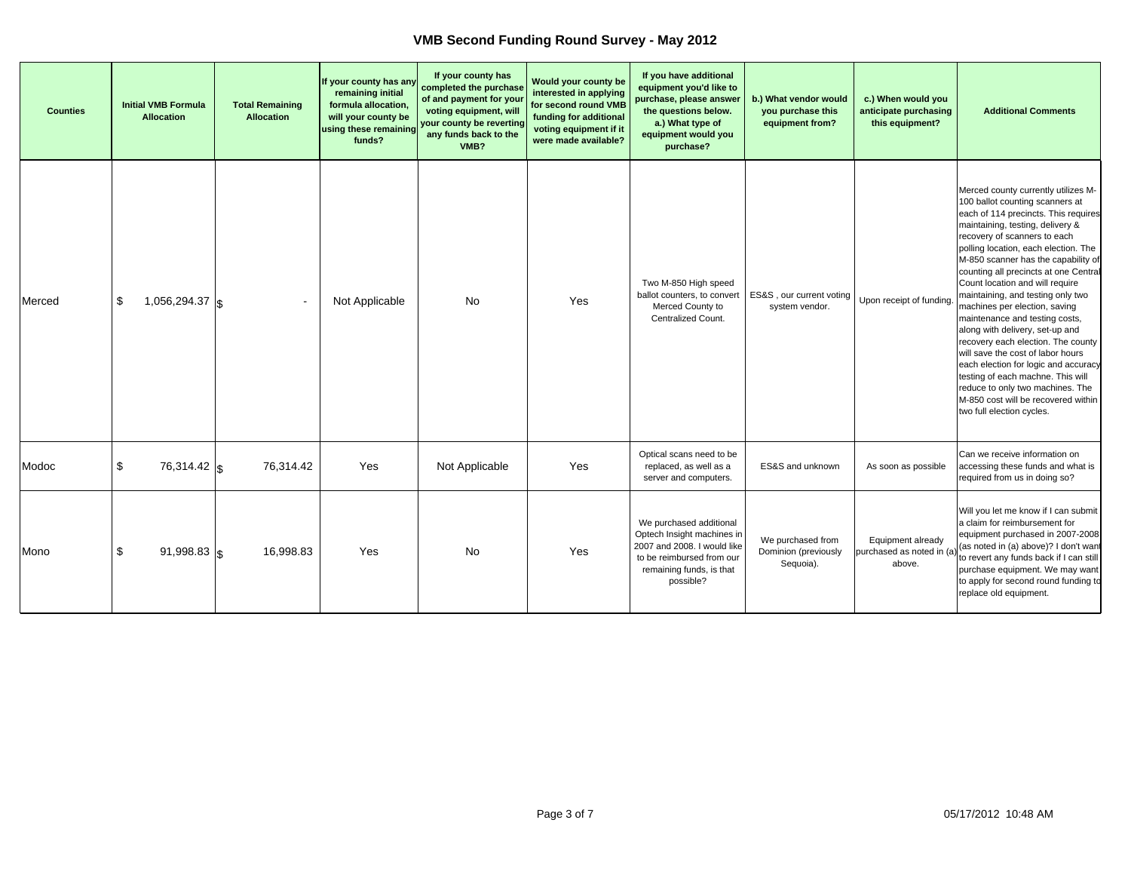| <b>Counties</b> | <b>Initial VMB Formula</b><br><b>Allocation</b> | <b>Total Remaining</b><br><b>Allocation</b> | If your county has any<br>remaining initial<br>formula allocation,<br>will your county be<br>using these remaining<br>funds? | If your county has<br>completed the purchase<br>of and payment for your<br>voting equipment, will<br>your county be reverting<br>any funds back to the<br>VMB? | Would your county be<br>interested in applying<br>for second round VMB<br>funding for additional<br>voting equipment if it<br>were made available? | If you have additional<br>equipment you'd like to<br>purchase, please answer<br>the questions below.<br>a.) What type of<br>equipment would you<br>purchase? | b.) What vendor would<br>you purchase this<br>equipment from? | c.) When would you<br>anticipate purchasing<br>this equipment? | <b>Additional Comments</b>                                                                                                                                                                                                                                                                                                                                                                                                                                                                                                                                                                                                                                                                                                                               |
|-----------------|-------------------------------------------------|---------------------------------------------|------------------------------------------------------------------------------------------------------------------------------|----------------------------------------------------------------------------------------------------------------------------------------------------------------|----------------------------------------------------------------------------------------------------------------------------------------------------|--------------------------------------------------------------------------------------------------------------------------------------------------------------|---------------------------------------------------------------|----------------------------------------------------------------|----------------------------------------------------------------------------------------------------------------------------------------------------------------------------------------------------------------------------------------------------------------------------------------------------------------------------------------------------------------------------------------------------------------------------------------------------------------------------------------------------------------------------------------------------------------------------------------------------------------------------------------------------------------------------------------------------------------------------------------------------------|
| Merced          | \$<br>1,056,294.37 $\vert$ \$                   | $\overline{\phantom{a}}$                    | Not Applicable                                                                                                               | <b>No</b>                                                                                                                                                      | Yes                                                                                                                                                | Two M-850 High speed<br>ballot counters, to convert<br>Merced County to<br>Centralized Count.                                                                | ES&S, our current voting<br>system vendor.                    | Upon receipt of funding                                        | Merced county currently utilizes M-<br>100 ballot counting scanners at<br>each of 114 precincts. This requires<br>maintaining, testing, delivery &<br>recovery of scanners to each<br>polling location, each election. The<br>M-850 scanner has the capability of<br>counting all precincts at one Central<br>Count location and will require<br>maintaining, and testing only two<br>machines per election, saving<br>maintenance and testing costs,<br>along with delivery, set-up and<br>recovery each election. The county<br>will save the cost of labor hours<br>each election for logic and accuracy<br>testing of each machne. This will<br>reduce to only two machines. The<br>M-850 cost will be recovered within<br>two full election cycles. |
| Modoc           | \$<br>76,314.42 \$                              | 76,314.42                                   | Yes                                                                                                                          | Not Applicable                                                                                                                                                 | Yes                                                                                                                                                | Optical scans need to be<br>replaced, as well as a<br>server and computers.                                                                                  | ES&S and unknown                                              | As soon as possible                                            | Can we receive information on<br>accessing these funds and what is<br>required from us in doing so?                                                                                                                                                                                                                                                                                                                                                                                                                                                                                                                                                                                                                                                      |
| Mono            | \$<br>$91,998.83$ \\$                           | 16,998.83                                   | Yes                                                                                                                          | <b>No</b>                                                                                                                                                      | Yes                                                                                                                                                | We purchased additional<br>Optech Insight machines in<br>2007 and 2008. I would like<br>to be reimbursed from our<br>remaining funds, is that<br>possible?   | We purchased from<br>Dominion (previously<br>Sequoia).        | Equipment already<br>purchased as noted in (a<br>above.        | Will you let me know if I can submit<br>a claim for reimbursement for<br>equipment purchased in 2007-2008<br>(as noted in (a) above)? I don't want<br>to revert any funds back if I can still<br>purchase equipment. We may want<br>to apply for second round funding to<br>replace old equipment.                                                                                                                                                                                                                                                                                                                                                                                                                                                       |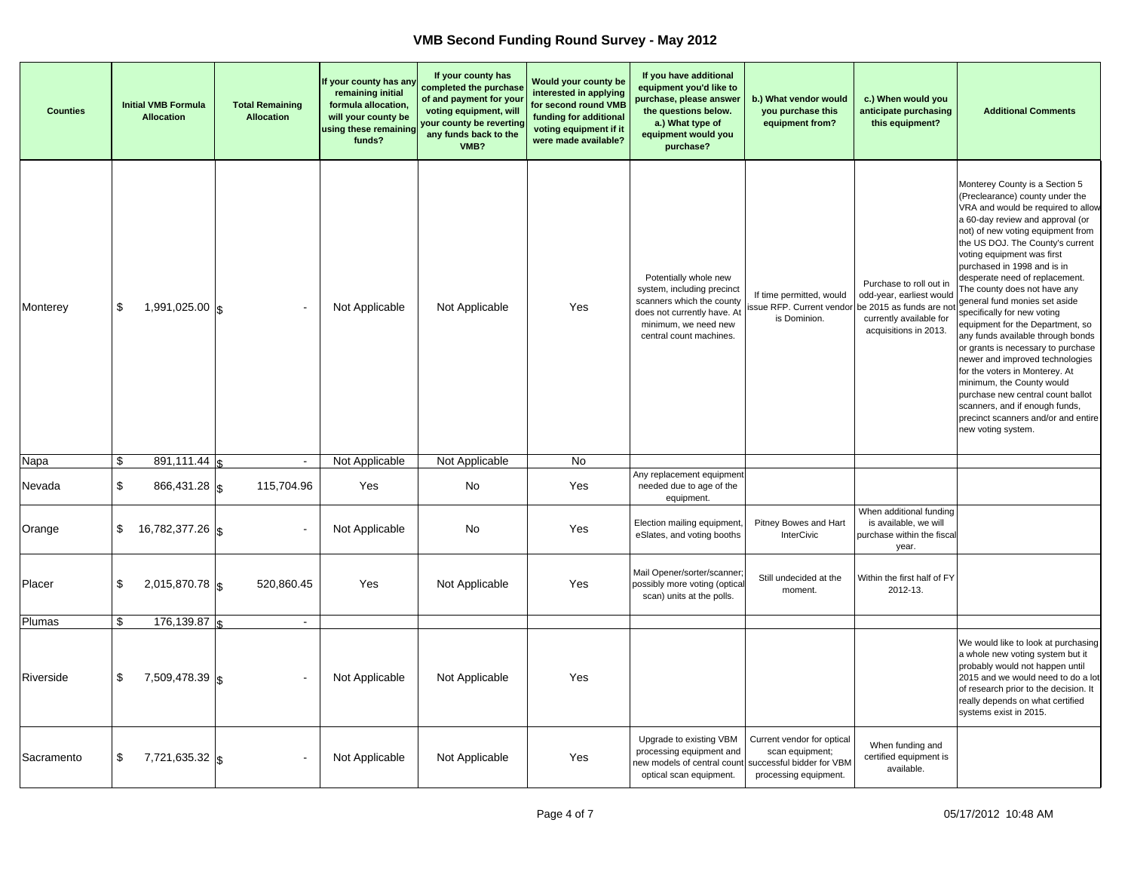| <b>Counties</b> | <b>Initial VMB Formula</b><br>Allocation | <b>Total Remaining</b><br><b>Allocation</b> | If your county has any<br>remaining initial<br>formula allocation,<br>will your county be<br>using these remaining<br>funds? | If your county has<br>completed the purchase<br>of and payment for your<br>voting equipment, will<br>your county be reverting<br>any funds back to the<br>VMB? | Would your county be<br>interested in applying<br>for second round VMB<br>funding for additional<br>voting equipment if it<br>were made available? | If you have additional<br>equipment you'd like to<br>purchase, please answer<br>the questions below.<br>a.) What type of<br>equipment would you<br>purchase?       | b.) What vendor would<br>you purchase this<br>equipment from?          | c.) When would you<br>anticipate purchasing<br>this equipment?                                                                      | <b>Additional Comments</b>                                                                                                                                                                                                                                                                                                                                                                                                                                                                                                                                                                                                                                                                                                                                               |
|-----------------|------------------------------------------|---------------------------------------------|------------------------------------------------------------------------------------------------------------------------------|----------------------------------------------------------------------------------------------------------------------------------------------------------------|----------------------------------------------------------------------------------------------------------------------------------------------------|--------------------------------------------------------------------------------------------------------------------------------------------------------------------|------------------------------------------------------------------------|-------------------------------------------------------------------------------------------------------------------------------------|--------------------------------------------------------------------------------------------------------------------------------------------------------------------------------------------------------------------------------------------------------------------------------------------------------------------------------------------------------------------------------------------------------------------------------------------------------------------------------------------------------------------------------------------------------------------------------------------------------------------------------------------------------------------------------------------------------------------------------------------------------------------------|
| Monterey        | \$<br>1,991,025.00 $\vert$ \$            |                                             | Not Applicable                                                                                                               | Not Applicable                                                                                                                                                 | Yes                                                                                                                                                | Potentially whole new<br>system, including precinct<br>scanners which the county<br>does not currently have. At<br>minimum, we need new<br>central count machines. | If time permitted, would<br>issue RFP. Current vendor<br>is Dominion.  | Purchase to roll out in<br>odd-year, earliest would<br>be 2015 as funds are not<br>currently available for<br>acquisitions in 2013. | Monterey County is a Section 5<br>(Preclearance) county under the<br>VRA and would be required to allow<br>a 60-day review and approval (or<br>not) of new voting equipment from<br>the US DOJ. The County's current<br>voting equipment was first<br>purchased in 1998 and is in<br>desperate need of replacement.<br>The county does not have any<br>general fund monies set aside<br>specifically for new voting<br>equipment for the Department, so<br>any funds available through bonds<br>or grants is necessary to purchase<br>newer and improved technologies<br>for the voters in Monterey. At<br>minimum, the County would<br>purchase new central count ballot<br>scanners, and if enough funds,<br>precinct scanners and/or and entire<br>new voting system. |
| Napa            | \$<br>$891,111.44$ s                     | $\blacksquare$                              | Not Applicable                                                                                                               | Not Applicable                                                                                                                                                 | No                                                                                                                                                 |                                                                                                                                                                    |                                                                        |                                                                                                                                     |                                                                                                                                                                                                                                                                                                                                                                                                                                                                                                                                                                                                                                                                                                                                                                          |
| Nevada          | \$<br>$866,431.28$ \s                    | 115,704.96                                  | Yes                                                                                                                          | No                                                                                                                                                             | Yes                                                                                                                                                | Any replacement equipment<br>needed due to age of the<br>equipment.                                                                                                |                                                                        |                                                                                                                                     |                                                                                                                                                                                                                                                                                                                                                                                                                                                                                                                                                                                                                                                                                                                                                                          |
| Orange          | \$<br>16,782,377.26   \$                 |                                             | Not Applicable                                                                                                               | No                                                                                                                                                             | Yes                                                                                                                                                | Election mailing equipment,<br>eSlates, and voting booths                                                                                                          | Pitney Bowes and Hart<br>InterCivic                                    | When additional funding<br>is available, we will<br>purchase within the fiscal<br>year.                                             |                                                                                                                                                                                                                                                                                                                                                                                                                                                                                                                                                                                                                                                                                                                                                                          |
| Placer          | \$<br>$2,015,870.78$ \sigma_0.15         | 520,860.45                                  | Yes                                                                                                                          | Not Applicable                                                                                                                                                 | Yes                                                                                                                                                | Mail Opener/sorter/scanner<br>possibly more voting (optica<br>scan) units at the polls.                                                                            | Still undecided at the<br>moment.                                      | Within the first half of FY<br>2012-13.                                                                                             |                                                                                                                                                                                                                                                                                                                                                                                                                                                                                                                                                                                                                                                                                                                                                                          |
| Plumas          | \$<br>176,139.87                         | $\overline{\phantom{a}}$                    |                                                                                                                              |                                                                                                                                                                |                                                                                                                                                    |                                                                                                                                                                    |                                                                        |                                                                                                                                     |                                                                                                                                                                                                                                                                                                                                                                                                                                                                                                                                                                                                                                                                                                                                                                          |
| Riverside       | \$<br>7,509,478.39 \$                    |                                             | Not Applicable                                                                                                               | Not Applicable                                                                                                                                                 | Yes                                                                                                                                                |                                                                                                                                                                    |                                                                        |                                                                                                                                     | We would like to look at purchasing<br>a whole new voting system but it<br>probably would not happen until<br>2015 and we would need to do a lot<br>of research prior to the decision. It<br>really depends on what certified<br>systems exist in 2015.                                                                                                                                                                                                                                                                                                                                                                                                                                                                                                                  |
| Sacramento      | \$<br>7,721,635.32 \$                    |                                             | Not Applicable                                                                                                               | Not Applicable                                                                                                                                                 | Yes                                                                                                                                                | Upgrade to existing VBM<br>processing equipment and<br>new models of central count successful bidder for VBM<br>optical scan equipment.                            | Current vendor for optical<br>scan equipment;<br>processing equipment. | When funding and<br>certified equipment is<br>available.                                                                            |                                                                                                                                                                                                                                                                                                                                                                                                                                                                                                                                                                                                                                                                                                                                                                          |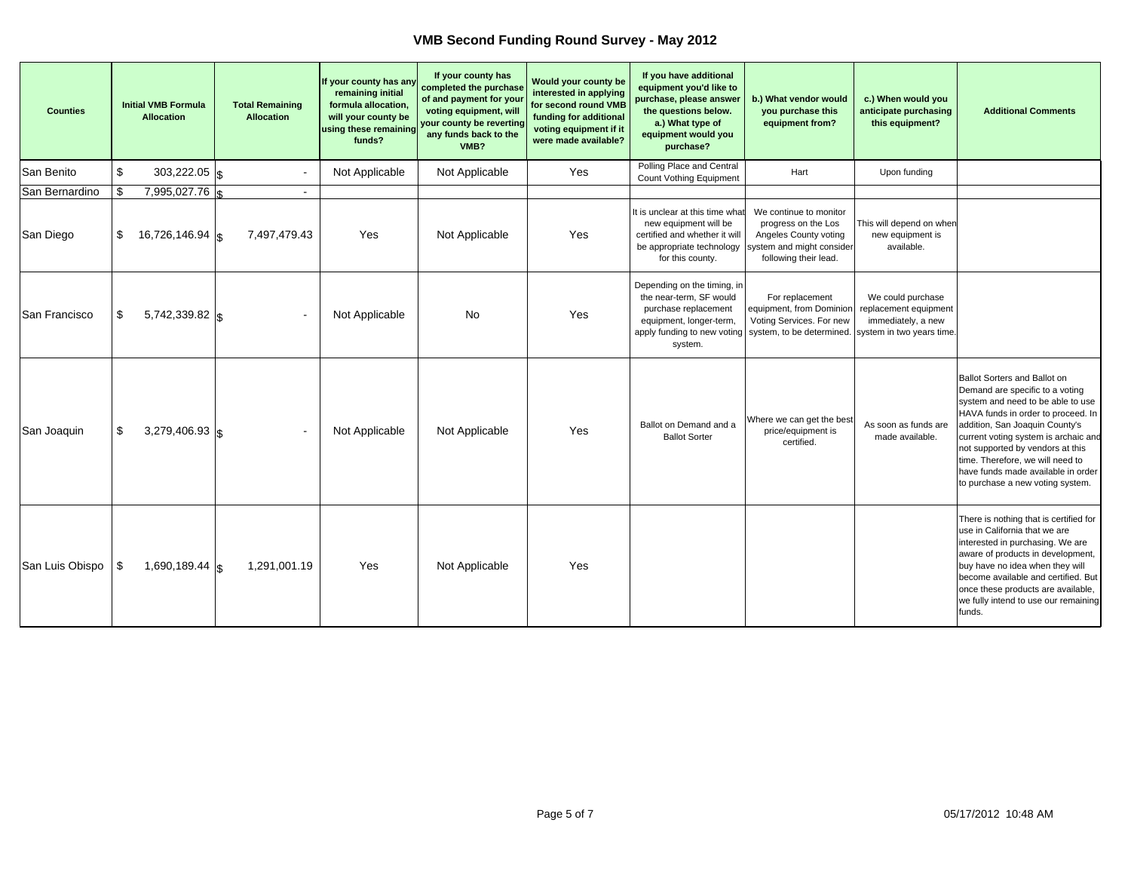| <b>Counties</b> |    | <b>Initial VMB Formula</b><br><b>Allocation</b> | <b>Total Remaining</b><br><b>Allocation</b> | If your county has any<br>remaining initial<br>formula allocation,<br>will your county be<br>using these remaining<br>funds? | If your county has<br>completed the purchase<br>of and payment for your<br>voting equipment, will<br>your county be reverting<br>any funds back to the<br>VMB? | <b>Would your county be</b><br>interested in applying<br>for second round VMB<br>funding for additional<br>voting equipment if it<br>were made available? | If you have additional<br>equipment you'd like to<br>purchase, please answer<br>the questions below.<br>a.) What type of<br>equipment would you<br>purchase? | b.) What vendor would<br>you purchase this<br>equipment from?                                                                | c.) When would you<br>anticipate purchasing<br>this equipment?                                | <b>Additional Comments</b>                                                                                                                                                                                                                                                                                                                                             |
|-----------------|----|-------------------------------------------------|---------------------------------------------|------------------------------------------------------------------------------------------------------------------------------|----------------------------------------------------------------------------------------------------------------------------------------------------------------|-----------------------------------------------------------------------------------------------------------------------------------------------------------|--------------------------------------------------------------------------------------------------------------------------------------------------------------|------------------------------------------------------------------------------------------------------------------------------|-----------------------------------------------------------------------------------------------|------------------------------------------------------------------------------------------------------------------------------------------------------------------------------------------------------------------------------------------------------------------------------------------------------------------------------------------------------------------------|
| San Benito      | \$ | $303,222.05$ \\$                                |                                             | Not Applicable                                                                                                               | Not Applicable                                                                                                                                                 | Yes                                                                                                                                                       | Polling Place and Central<br>Count Vothing Equipment                                                                                                         | Hart                                                                                                                         | Upon funding                                                                                  |                                                                                                                                                                                                                                                                                                                                                                        |
| San Bernardino  | \$ | 7,995,027.76                                    | $\blacksquare$                              |                                                                                                                              |                                                                                                                                                                |                                                                                                                                                           |                                                                                                                                                              |                                                                                                                              |                                                                                               |                                                                                                                                                                                                                                                                                                                                                                        |
| San Diego       | S. | 16,726,146.94   «                               | 7,497,479.43                                | Yes                                                                                                                          | Not Applicable                                                                                                                                                 | Yes                                                                                                                                                       | It is unclear at this time what<br>new equipment will be<br>certified and whether it will<br>be appropriate technology<br>for this county.                   | We continue to monitor<br>progress on the Los<br>Angeles County voting<br>system and might consider<br>following their lead. | This will depend on when<br>new equipment is<br>available.                                    |                                                                                                                                                                                                                                                                                                                                                                        |
| San Francisco   | \$ | 5,742,339.82   \$                               |                                             | Not Applicable                                                                                                               | No                                                                                                                                                             | Yes                                                                                                                                                       | Depending on the timing, in<br>the near-term. SF would<br>purchase replacement<br>equipment, longer-term,<br>apply funding to new voting<br>system.          | For replacement<br>equipment, from Dominion<br>Voting Services. For new<br>system, to be determined.                         | We could purchase<br>replacement equipment<br>immediately, a new<br>system in two years time. |                                                                                                                                                                                                                                                                                                                                                                        |
| San Joaquin     | \$ | 3,279,406.93 $\vert$ \$                         |                                             | Not Applicable                                                                                                               | Not Applicable                                                                                                                                                 | Yes                                                                                                                                                       | Ballot on Demand and a<br><b>Ballot Sorter</b>                                                                                                               | Where we can get the best<br>price/equipment is<br>certified.                                                                | As soon as funds are<br>made available.                                                       | Ballot Sorters and Ballot on<br>Demand are specific to a voting<br>system and need to be able to use<br>HAVA funds in order to proceed. In<br>addition, San Joaquin County's<br>current voting system is archaic and<br>not supported by vendors at this<br>time. Therefore, we will need to<br>have funds made available in order<br>to purchase a new voting system. |
| San Luis Obispo | \$ | 1,690,189.44 $\vert \mathbf{g} \vert$           | 1,291,001.19                                | Yes                                                                                                                          | Not Applicable                                                                                                                                                 | Yes                                                                                                                                                       |                                                                                                                                                              |                                                                                                                              |                                                                                               | There is nothing that is certified for<br>use in California that we are<br>interested in purchasing. We are<br>aware of products in development,<br>buy have no idea when they will<br>become available and certified. But<br>once these products are available,<br>we fully intend to use our remaining<br>funds.                                                     |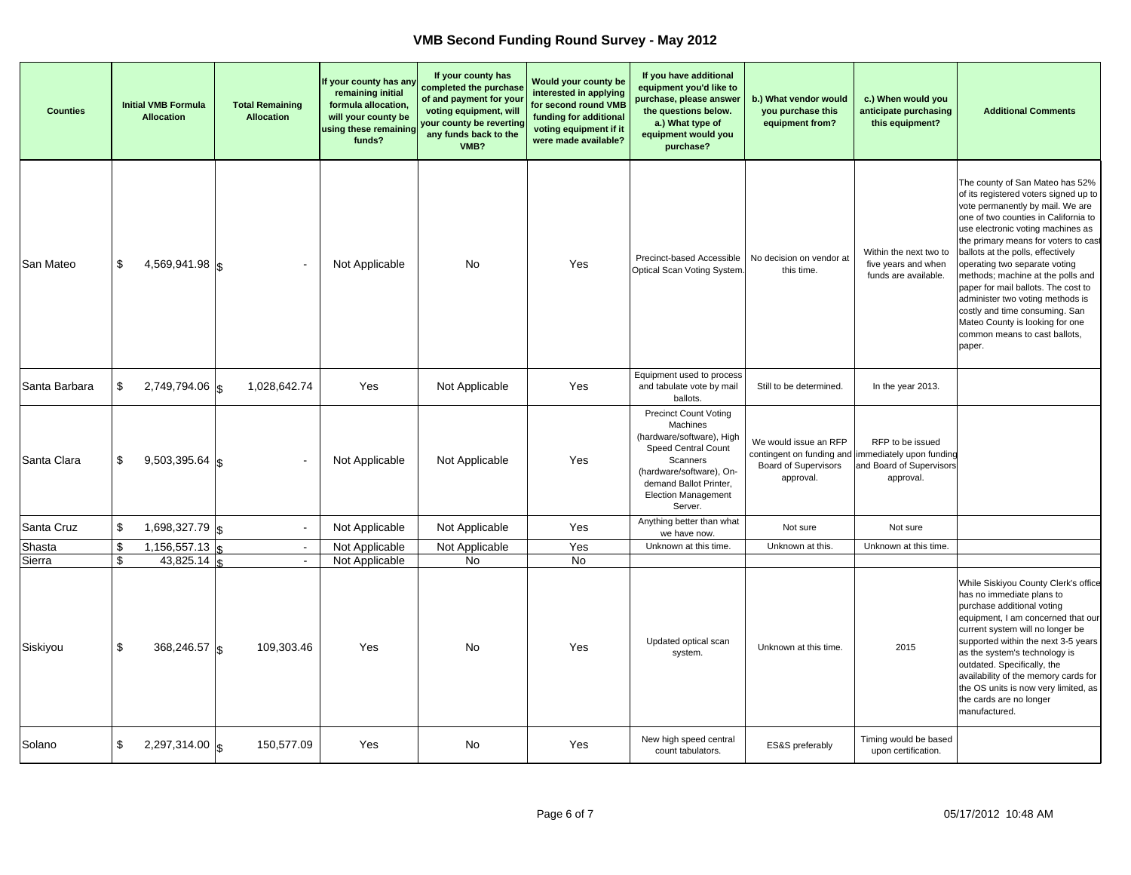| <b>Counties</b> | <b>Initial VMB Formula</b><br><b>Allocation</b> | <b>Total Remaining</b><br><b>Allocation</b> | If your county has any<br>remaining initial<br>formula allocation,<br>will your county be<br>using these remaining<br>funds? | If your county has<br>completed the purchase<br>of and payment for your<br>voting equipment, will<br>your county be reverting<br>any funds back to the<br>VMB? | Would your county be<br>interested in applying<br>for second round VMB<br>funding for additional<br>voting equipment if it<br>were made available? | If you have additional<br>equipment you'd like to<br>purchase, please answer<br>the questions below.<br>a.) What type of<br>equipment would you<br>purchase?                                            | b.) What vendor would<br>you purchase this<br>equipment from?                                                           | c.) When would you<br>anticipate purchasing<br>this equipment?        | <b>Additional Comments</b>                                                                                                                                                                                                                                                                                                                                                                                                                                                                                                              |
|-----------------|-------------------------------------------------|---------------------------------------------|------------------------------------------------------------------------------------------------------------------------------|----------------------------------------------------------------------------------------------------------------------------------------------------------------|----------------------------------------------------------------------------------------------------------------------------------------------------|---------------------------------------------------------------------------------------------------------------------------------------------------------------------------------------------------------|-------------------------------------------------------------------------------------------------------------------------|-----------------------------------------------------------------------|-----------------------------------------------------------------------------------------------------------------------------------------------------------------------------------------------------------------------------------------------------------------------------------------------------------------------------------------------------------------------------------------------------------------------------------------------------------------------------------------------------------------------------------------|
| San Mateo       | \$<br>$4,569,941.98$ \$                         |                                             | Not Applicable                                                                                                               | <b>No</b>                                                                                                                                                      | Yes                                                                                                                                                | Precinct-based Accessible<br>Optical Scan Voting System.                                                                                                                                                | No decision on vendor at<br>this time.                                                                                  | Within the next two to<br>five years and when<br>funds are available. | The county of San Mateo has 52%<br>of its registered voters signed up to<br>vote permanently by mail. We are<br>one of two counties in California to<br>use electronic voting machines as<br>the primary means for voters to cast<br>ballots at the polls, effectively<br>operating two separate voting<br>methods; machine at the polls and<br>paper for mail ballots. The cost to<br>administer two voting methods is<br>costly and time consuming. San<br>Mateo County is looking for one<br>common means to cast ballots,<br>paper. |
| Santa Barbara   | \$<br>$2,749,794.06$ \\cdot                     | 1,028,642.74                                | Yes                                                                                                                          | Not Applicable                                                                                                                                                 | Yes                                                                                                                                                | Equipment used to process<br>and tabulate vote by mail<br>ballots.                                                                                                                                      | Still to be determined.                                                                                                 | In the year 2013.                                                     |                                                                                                                                                                                                                                                                                                                                                                                                                                                                                                                                         |
| Santa Clara     | \$<br>$9,503,395.64$ \\ \g                      |                                             | Not Applicable                                                                                                               | Not Applicable                                                                                                                                                 | Yes                                                                                                                                                | <b>Precinct Count Voting</b><br>Machines<br>(hardware/software), High<br>Speed Central Count<br>Scanners<br>(hardware/software), On-<br>demand Ballot Printer,<br><b>Election Management</b><br>Server. | We would issue an RFP<br>contingent on funding and immediately upon funding<br><b>Board of Supervisors</b><br>approval. | RFP to be issued<br>and Board of Supervisors<br>approval.             |                                                                                                                                                                                                                                                                                                                                                                                                                                                                                                                                         |
| Santa Cruz      | \$<br>1,698,327.79 $\vert$ \$                   |                                             | Not Applicable                                                                                                               | Not Applicable                                                                                                                                                 | Yes                                                                                                                                                | Anything better than what<br>we have now.                                                                                                                                                               | Not sure                                                                                                                | Not sure                                                              |                                                                                                                                                                                                                                                                                                                                                                                                                                                                                                                                         |
| Shasta          | \$<br>1,156,557.13                              | $\overline{\phantom{a}}$                    | Not Applicable                                                                                                               | Not Applicable                                                                                                                                                 | Yes                                                                                                                                                | Unknown at this time.                                                                                                                                                                                   | Unknown at this.                                                                                                        | Unknown at this time.                                                 |                                                                                                                                                                                                                                                                                                                                                                                                                                                                                                                                         |
| Sierra          | \$<br>43,825.14                                 | $\sim$                                      | Not Applicable                                                                                                               | No                                                                                                                                                             | No                                                                                                                                                 |                                                                                                                                                                                                         |                                                                                                                         |                                                                       |                                                                                                                                                                                                                                                                                                                                                                                                                                                                                                                                         |
| Siskiyou        | \$<br>368,246.57 \$                             | 109,303.46                                  | Yes                                                                                                                          | No.                                                                                                                                                            | Yes                                                                                                                                                | Updated optical scan<br>system.                                                                                                                                                                         | Unknown at this time.                                                                                                   | 2015                                                                  | While Siskiyou County Clerk's office<br>has no immediate plans to<br>purchase additional voting<br>equipment, I am concerned that our<br>current system will no longer be<br>supported within the next 3-5 years<br>as the system's technology is<br>outdated. Specifically, the<br>availability of the memory cards for<br>the OS units is now very limited, as<br>the cards are no longer<br>manufactured.                                                                                                                            |
| Solano          | \$<br>2,297,314.00 \$                           | 150,577.09                                  | Yes                                                                                                                          | No                                                                                                                                                             | Yes                                                                                                                                                | New high speed central<br>count tabulators.                                                                                                                                                             | ES&S preferably                                                                                                         | Timing would be based<br>upon certification.                          |                                                                                                                                                                                                                                                                                                                                                                                                                                                                                                                                         |